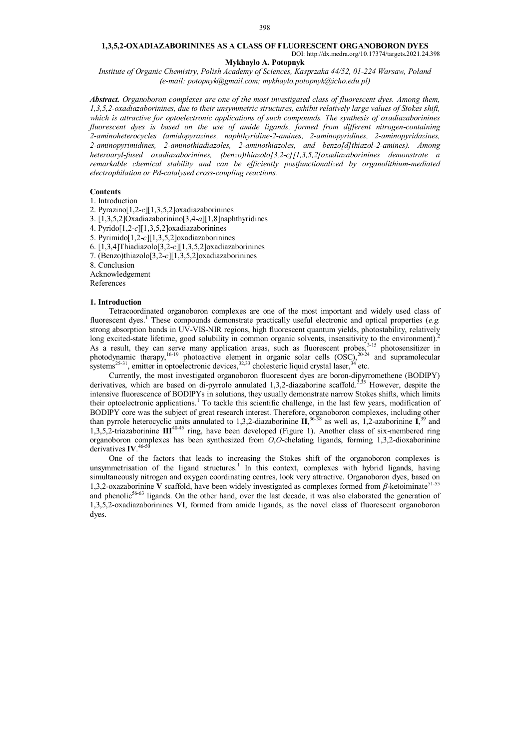## **1,3,5,2-OXADIAZABORININES AS A CLASS OF FLUORESCENT ORGANOBORON DYES** DOI: http://dx.medra.org/10.17374/targets.2021.24.398

### **Mykhaylo A. Potopnyk**

*Institute of Organic Chemistry, Polish Academy of Sciences, Kasprzaka 44/52, 01-224 Warsaw, Poland (e-mail: potopnyk@gmail.com; mykhaylo.potopnyk@icho.edu.pl)*

*Abstract. Organoboron complexes are one of the most investigated class of fluorescent dyes. Among them, 1,3,5,2-oxadiazaborinines, due to their unsymmetric structures, exhibit relatively large values of Stokes shift, which is attractive for optoelectronic applications of such compounds. The synthesis of oxadiazaborinines fluorescent dyes is based on the use of amide ligands, formed from different nitrogen-containing 2-aminoheterocycles (amidopyrazines, naphthyridine-2-amines, 2-aminopyridines, 2-aminopyridazines, 2-aminopyrimidines, 2-aminothiadiazoles, 2-aminothiazoles, and benzo[d]thiazol-2-amines). Among heteroaryl-fused oxadiazaborinines, (benzo)thiazolo[3,2-c][1,3,5,2]oxadiazaborinines demonstrate a remarkable chemical stability and can be efficiently postfunctionalized by organolithium-mediated electrophilation or Pd-catalysed cross-coupling reactions.*

#### **Contents**

1. Introduction

2. Pyrazino[1,2-*c*][1,3,5,2]oxadiazaborinines

3. [1,3,5,2]Oxadiazaborinino[3,4-*a*][1,8]naphthyridines

4. Pyrido[1,2-*c*][1,3,5,2]oxadiazaborinines

5. Pyrimido[1,2-*c*][1,3,5,2]oxadiazaborinines

- 6. [1,3,4]Thiadiazolo[3,2-*c*][1,3,5,2]oxadiazaborinines
- 7. (Benzo)thiazolo[3,2-*c*][1,3,5,2]oxadiazaborinines

8. Conclusion

Acknowledgement

References

#### **1. Introduction**

Tetracoordinated organoboron complexes are one of the most important and widely used class of fluorescent dyes. <sup>1</sup> These compounds demonstrate practically useful electronic and optical properties (*e.g.* strong absorption bands in UV-VIS-NIR regions, high fluorescent quantum yields, photostability, relatively long excited-state lifetime, good solubility in common organic solvents, insensitivity to the environment).<sup>2</sup> As a result, they can serve many application areas, such as fluorescent probes,<sup>3-15</sup> photosensitizer in photodynamic therapy,<sup>16-19</sup> photoactive element in organic solar cells  $(OSC)$ , <sup>20-24</sup> and supramolecular systems<sup>25-31</sup>, emitter in optoelectronic devices,  $32,33$  cholesteric liquid crystal laser,  $34$  etc.

Currently, the most investigated organoboron fluorescent dyes are boron-dipyrromethene (BODIPY) derivatives, which are based on di-pyrrolo annulated 1,3,2-diazaborine scaffold.<sup>3,35</sup> However, despite the intensive fluorescence of BODIPYs in solutions, they usually demonstrate narrow Stokes shifts, which limits their optoelectronic applications.<sup>1</sup> To tackle this scientific challenge, in the last few years, modification of BODIPY core was the subject of great research interest. Therefore, organoboron complexes, including other than pyrrole heterocyclic units annulated to 1,3,2-diazaborinine **II**, 36-38 as well as, 1,2-azaborinine **I**, <sup>39</sup> and 1,3,5,2-triazaborinine **III**40-45 ring, have been developed (Figure 1). Another class of six-membered ring organoboron complexes has been synthesized from *O*,*O*-chelating ligands, forming 1,3,2-dioxaborinine derivatives **IV**. 46-50

One of the factors that leads to increasing the Stokes shift of the organoboron complexes is unsymmetrisation of the ligand structures.<sup>1</sup> In this context, complexes with hybrid ligands, having simultaneously nitrogen and oxygen coordinating centres, look very attractive. Organoboron dyes, based on 1,3,2-oxazaborinine **V** scaffold, have been widely investigated as complexes formed from  $\beta$ -ketoiminate<sup>51-55</sup> and phenolic<sup>56-63</sup> ligands. On the other hand, over the last decade, it was also elaborated the generation of 1,3,5,2-oxadiazaborinines **VI**, formed from amide ligands, as the novel class of fluorescent organoboron dyes.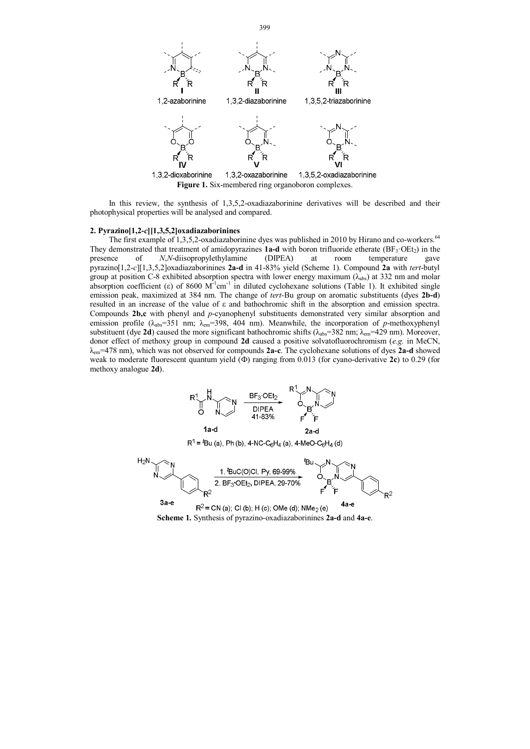

In this review, the synthesis of 1,3,5,2-oxadiazaborinine derivatives will be described and their photophysical properties will be analysed and compared.

## **2. Pyrazino[1,2-***c***][1,3,5,2]oxadiazaborinines**

The first example of 1,3,5,2-oxadiazaborinine dyes was published in 2010 by Hirano and co-workers.<sup>64</sup> They demonstrated that treatment of amidopyrazines **1a-d** with boron trifluoride etherate (BF<sub>3</sub>·OEt<sub>2</sub>) in the presence of *N*,*N*-disopropylethylamine (DIPEA) at room temperature gave presence of *N*,*N*-diisopropylethylamine (DIPEA) at room temperature gave pyrazino[1,2-*c*][1,3,5,2]oxadiazaborinines **2a-d** in 41-83% yield (Scheme 1). Compound **2a** with *tert*-butyl group at position C-8 exhibited absorption spectra with lower energy maximum ( $\lambda_{abs}$ ) at 332 nm and molar absorption coefficient (ε) of 8600  $M^{-1}$ cm<sup>-1</sup> in diluted cyclohexane solutions (Table 1). It exhibited single emission peak, maximized at 384 nm. The change of *tert-*Bu group on aromatic substituents (dyes **2b-d**) resulted in an increase of the value of ε and bathochromic shift in the absorption and emission spectra. Compounds **2b,c** with phenyl and *p*-cyanophenyl substituents demonstrated very similar absorption and emission profile (λ<sub>abs</sub>=351 nm; λ<sub>em</sub>=398, 404 nm). Meanwhile, the incorporation of *p*-methoxyphenyl substituent (dye **2d**) caused the more significant bathochromic shifts (λ<sub>abs</sub>=382 nm; λ<sub>em</sub>=429 nm). Moreover, donor effect of methoxy group in compound **2d** caused a positive solvatofluorochromism (*e.g.* in MeCN, λem=478 nm), which was not observed for compounds **2a-c**. The cyclohexane solutions of dyes **2a-d** showed weak to moderate fluorescent quantum yield (Ф) ranging from 0.013 (for cyano-derivative **2c**) to 0.29 (for methoxy analogue **2d**).



 $R^1$  = <sup>*t*</sup>Bu (a), Ph (b), 4-NC-C<sub>6</sub>H<sub>4</sub> (a), 4-MeO-C<sub>6</sub>H<sub>4</sub> (d)



**Scheme 1.** Synthesis of pyrazino-oxadiazaborinines **2a-d** and **4a-e**.

399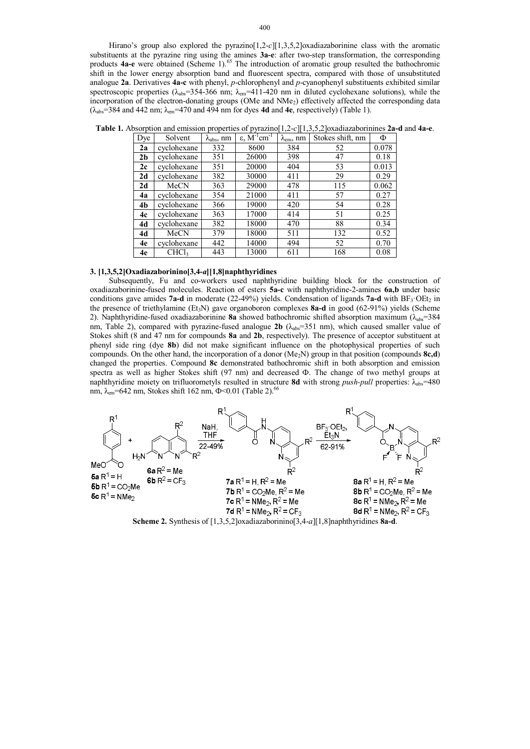Hirano's group also explored the pyrazino<sup>[1,2-*c*][1,3,5,2]oxadiazaborinine class with the aromatic</sup> substituents at the pyrazine ring using the amines **3a-e**: after two-step transformation, the corresponding products **4a-e** were obtained (Scheme 1).<sup>65</sup> The introduction of aromatic group resulted the bathochromic shift in the lower energy absorption band and fluorescent spectra, compared with those of unsubstituted analogue **2a**. Derivatives **4a-c** with phenyl, *p*-chlorophenyl and *p*-cyanophenyl substituents exhibited similar spectroscopic properties ( $\lambda_{abs}$ =354-366 nm;  $\lambda_{em}$ =411-420 nm in diluted cyclohexane solutions), while the incorporation of the electron-donating groups (OMe and NMe<sub>2</sub>) effectively affected the corresponding data (λabs=384 and 442 nm; λem=470 and 494 nm for dyes **4d** and **4e**, respectively) (Table 1).

| Dye            | Solvent           | $\lambda_{\rm abs}, \text{nm}$ | $\varepsilon$ , $\overline{M}^{-1}$ cm <sup>-1</sup> | $\lambda_{em},\, nm$ | Stokes shift, nm | Φ     |
|----------------|-------------------|--------------------------------|------------------------------------------------------|----------------------|------------------|-------|
| 2a             | cyclohexane       | 332                            | 8600                                                 | 384                  | 52               | 0.078 |
| 2 <sub>b</sub> | cyclohexane       | 351                            | 26000                                                | 398                  | 47               | 0.18  |
| 2c             | cyclohexane       | 351                            | 20000                                                | 404                  | 53               | 0.013 |
| 2d             | cyclohexane       | 382                            | 30000                                                | 411                  | 29               | 0.29  |
| 2d             | MeCN              | 363                            | 29000                                                | 478                  | 115              | 0.062 |
| 4a             | cyclohexane       | 354                            | 21000                                                | 411                  | 57               | 0.27  |
| 4b             | cyclohexane       | 366                            | 19000                                                | 420                  | 54               | 0.28  |
| 4c             | cyclohexane       | 363                            | 17000                                                | 414                  | 51               | 0.25  |
| 4d             | cyclohexane       | 382                            | 18000                                                | 470                  | 88               | 0.34  |
| 4d             | MeCN              | 379                            | 18000                                                | 511                  | 132              | 0.52  |
| 4e             | cyclohexane       | 442                            | 14000                                                | 494                  | 52               | 0.70  |
| 4e             | CHCl <sub>3</sub> | 443                            | 13000                                                | 611                  | 168              | 0.08  |

**Table 1.** Absorption and emission properties of pyrazino[1,2-*c*][1,3,5,2]oxadiazaborinines **2a-d** and **4a-e**.

#### **3. [1,3,5,2]Oxadiazaborinino[3,4-***a***][1,8]naphthyridines**

Subsequently, Fu and co-workers used naphthyridine building block for the construction of oxadiazaborinine-fused molecules. Reaction of esters **5a-c** with naphthyridine-2-amines **6a,b** under basic conditions gave amides **7a-d** in moderate (22-49%) yields. Condensation of ligands **7a-d** with BF<sub>3</sub>·OEt<sub>2</sub> in the presence of triethylamine (Et3N) gave organoboron complexes **8a-d** in good (62-91%) yields (Scheme 2). Naphthyridine-fused oxadiazaborinine **8a** showed bathochromic shifted absorption maximum (λ<sub>abs</sub>=384 nm, Table 2), compared with pyrazine-fused analogue **2b** ( $\lambda_{abc}$ =351 nm), which caused smaller value of Stokes shift (8 and 47 nm for compounds **8a** and **2b**, respectively). The presence of acceptor substituent at phenyl side ring (dye **8b**) did not make significant influence on the photophysical properties of such compounds. On the other hand, the incorporation of a donor  $(Me_2N)$  group in that position (compounds  $8c,d$ ) changed the properties. Compound **8c** demonstrated bathochromic shift in both absorption and emission spectra as well as higher Stokes shift (97 nm) and decreased Ф. The change of two methyl groups at naphthyridine moiety on trifluorometyls resulted in structure **8d** with strong *push-pull* properties: λabs=480 nm, λ<sub>em</sub>=642 nm, Stokes shift 162 nm, Φ<0.01 (Table 2).<sup>66</sup>



**Scheme 2.** Synthesis of [1,3,5,2]oxadiazaborinino[3,4-*a*][1,8]naphthyridines **8a-d**.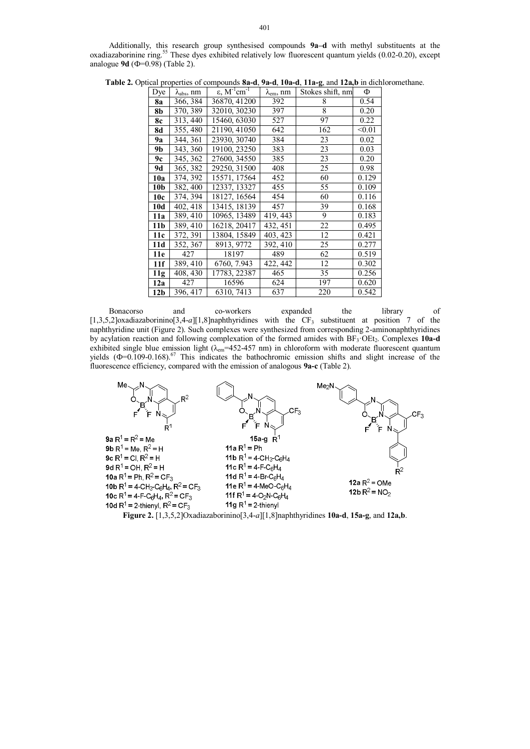Additionally, this research group synthesised compounds **9a–d** with methyl substituents at the oxadiazaborinine ring.<sup>55</sup> These dyes exhibited relatively low fluorescent quantum yields (0.02-0.20), except analogue **9d** (Ф=0.98) (Table 2).

| Dye             | $\lambda_{\rm abs}$ , nm | $\varepsilon$ , M <sup>-1</sup> cm <sup>-1</sup> | $\lambda_{em}$ , nm | Stokes shift, nm | Ф      |
|-----------------|--------------------------|--------------------------------------------------|---------------------|------------------|--------|
| 8a              | 366, 384                 | 36870, 41200                                     | 392                 | 8                | 0.54   |
| 8b              | 370, 389                 | 32010, 30230                                     | 397                 | 8                | 0.20   |
| 8с              | 313, 440                 | 15460, 63030                                     | 527                 | 97               | 0.22   |
| 8d              | 355, 480                 | 21190, 41050                                     | 642                 | 162              | < 0.01 |
| 9a              | 344, 361                 | 23930, 30740                                     | 384                 | 23               | 0.02   |
| 9b              | 343, 360                 | 19100, 23250                                     | 383                 | 23               | 0.03   |
| 9с              | 345, 362                 | 27600, 34550                                     | 385                 | 23               | 0.20   |
| 9d              | 365, 382                 | 29250, 31500                                     | 408                 | 25               | 0.98   |
| 10a             | 374, 392                 | 15571, 17564                                     | 452                 | 60               | 0.129  |
| 10 <sub>b</sub> | 382, 400                 | 12337, 13327                                     | 455                 | 55               | 0.109  |
| 10c             | 374, 394                 | 18127, 16564                                     | 454                 | 60               | 0.116  |
| 10d             | 402, 418                 | 13415, 18139                                     | 457                 | 39               | 0.168  |
| 11a             | 389, 410                 | 10965, 13489                                     | 419, 443            | 9                | 0.183  |
| 11 <sub>b</sub> | 389, 410                 | 16218, 20417                                     | 432, 451            | 22               | 0.495  |
| 11c             | 372, 391                 | 13804, 15849                                     | 403, 423            | 12               | 0.421  |
| 11d             | 352, 367                 | 8913, 9772                                       | 392, 410            | 25               | 0.277  |
| 11e             | 427                      | 18197                                            | 489                 | 62               | 0.519  |
| 11f             | 389, 410                 | 6760, 7.943                                      | 422, 442            | 12               | 0.302  |
| 11g             | 408, 430                 | 17783, 22387                                     | 465                 | 35               | 0.256  |
| 12a             | 427                      | 16596                                            | 624                 | 197              | 0.620  |
| 12 <sub>b</sub> | 396, 417                 | 6310, 7413                                       | 637                 | 220              | 0.542  |

**Table 2.** Optical properties of compounds **8a-d**, **9a-d**, **10a-d**, **11a-g**, and **12a,b** in dichloromethane.

Bonacorso and co-workers expanded the library of  $[1,3,5,2]$ oxadiazaborinino $[3,4-a][1,8]$ naphthyridines with the CF<sub>3</sub> substituent at position 7 of the naphthyridine unit (Figure 2). Such complexes were synthesized from corresponding 2-aminonaphthyridines by acylation reaction and following complexation of the formed amides with BF3·OEt2. Complexes **10a-d** exhibited single blue emission light ( $\lambda_{em}$ =452-457 nm) in chloroform with moderate fluorescent quantum yields  $(\Phi=0.109-0.168)^{67}$  This indicates the bathochromic emission shifts and slight increase of the fluorescence efficiency, compared with the emission of analogous **9a-c** (Table 2).



**Figure 2.** [1,3,5,2]Oxadiazaborinino[3,4-*a*][1,8]naphthyridines **10a-d**, **15a-g**, and **12a,b**.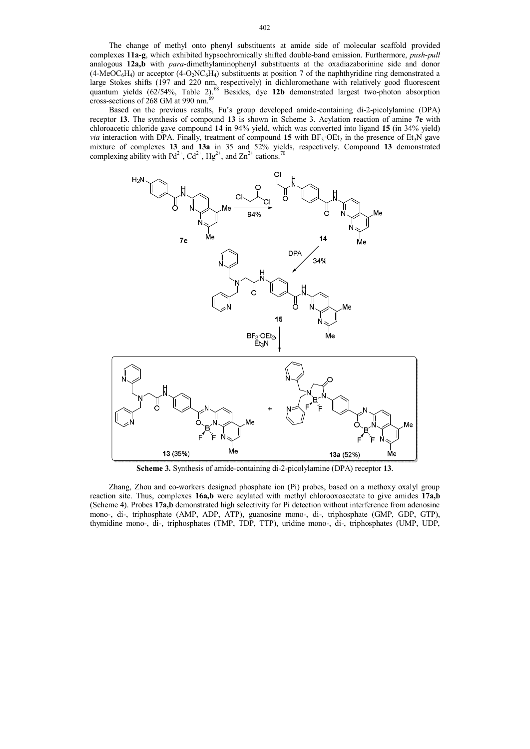The change of methyl onto phenyl substituents at amide side of molecular scaffold provided complexes **11a-g**, which exhibited hypsochromically shifted double-band emission. Furthermore, *push-pull* analogous **12a,b** with *para*-dimethylaminophenyl substituents at the oxadiazaborinine side and donor  $(4-MeOC<sub>6</sub>H<sub>4</sub>)$  or acceptor  $(4-O<sub>2</sub>NC<sub>6</sub>H<sub>4</sub>)$  substituents at position 7 of the naphthyridine ring demonstrated a large Stokes shifts (197 and 220 nm, respectively) in dichloromethane with relatively good fluorescent quantum yields (62/54%, Table 2).<sup>68</sup> Besides, dye 12b demonstrated largest two-photon absorption cross-sections of 268 GM at 990 nm.<sup>69</sup>

Based on the previous results, Fu's group developed amide-containing di-2-picolylamine (DPA) receptor **13**. The synthesis of compound **13** is shown in Scheme 3. Acylation reaction of amine **7e** with chloroacetic chloride gave compound **14** in 94% yield, which was converted into ligand **15** (in 34% yield) *via* interaction with DPA. Finally, treatment of compound 15 with BF<sub>3</sub>·OEt<sub>2</sub> in the presence of Et<sub>3</sub>N gave mixture of complexes **13** and **13a** in 35 and 52% yields, respectively. Compound **13** demonstrated complexing ability with Pd<sup>2+</sup>, Cd<sup>2+</sup>, Hg<sup>2+</sup>, and Zn<sup>2+</sup> cations.<sup>70</sup>



**Scheme 3.** Synthesis of amide-containing di-2-picolylamine (DPA) receptor **13**.

Zhang, Zhou and co-workers designed phosphate ion (Pi) probes, based on a methoxy oxalyl group reaction site. Thus, complexes **16a,b** were acylated with methyl chlorooxoacetate to give amides **17a,b** (Scheme 4). Probes **17a,b** demonstrated high selectivity for Pi detection without interference from adenosine mono-, di-, triphosphate (AMP, ADP, ATP), guanosine mono-, di-, triphosphate (GMP, GDP, GTP), thymidine mono-, di-, triphosphates (TMP, TDP, TTP), uridine mono-, di-, triphosphates (UMP, UDP,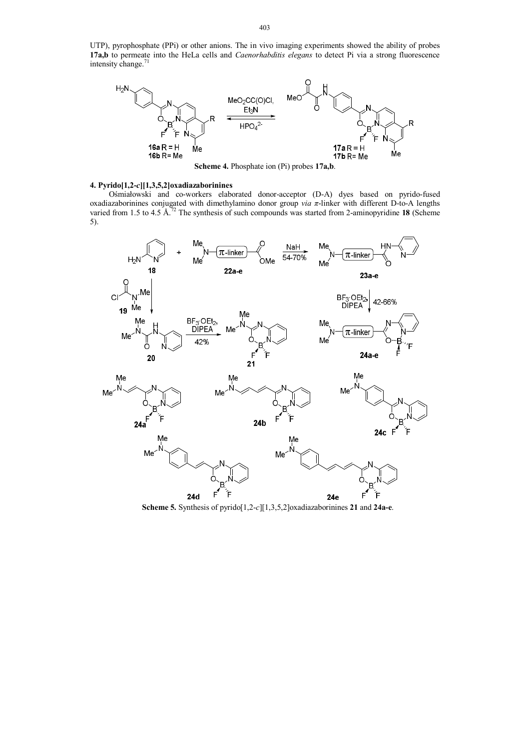UTP), pyrophosphate (PPi) or other anions. The in vivo imaging experiments showed the ability of probes **17a,b** to permeate into the HeLa cells and *Caenorhabditis elegans* to detect Pi via a strong fluorescence intensity change.<sup>71</sup>



**Scheme 4.** Phosphate ion (Pi) probes **17a,b**.

# **4. Pyrido[1,2-***c***][1,3,5,2]oxadiazaborinines**

Ośmiałowski and co-workers elaborated donor-acceptor (D-A) dyes based on pyrido-fused oxadiazaborinines conjugated with dimethylamino donor group *via π*-linker with different D-to-A lengths varied from 1.5 to 4.5 Å.<sup>72</sup> The synthesis of such compounds was started from 2-aminopyridine 18 (Scheme 5).



**Scheme 5.** Synthesis of pyrido[1,2-*c*][1,3,5,2]oxadiazaborinines **21** and **24a-e**.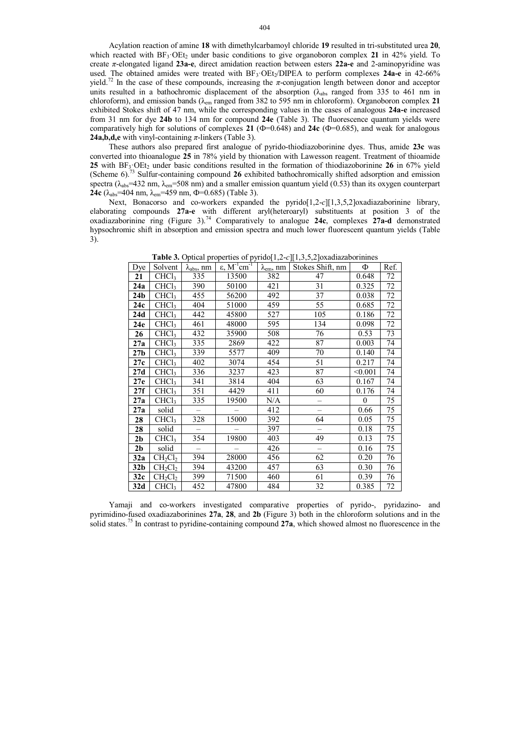Acylation reaction of amine **18** with dimethylcarbamoyl chloride **19** resulted in tri-substituted urea **20**, which reacted with  $BF_3 \cdot OEt_2$  under basic conditions to give organoboron complex 21 in 42% yield. To create *π*-elongated ligand **23a-e**, direct amidation reaction between esters **22a-e** and 2-aminopyridine was used. The obtained amides were treated with BF3·OEt2/DIPEA to perform complexes **24a-e** in 42-66% yield.<sup>72</sup> In the case of these compounds, increasing the *π*-conjugation length between donor and acceptor units resulted in a bathochromic displacement of the absorption  $(\lambda_{abs}$  ranged from 335 to 461 nm in chloroform), and emission bands (λem ranged from 382 to 595 nm in chloroform). Organoboron complex **21** exhibited Stokes shift of 47 nm, while the corresponding values in the cases of analogous **24a-e** increased from 31 nm for dye **24b** to 134 nm for compound **24e** (Table 3). The fluorescence quantum yields were comparatively high for solutions of complexes **21** (Ф=0.648) and **24c** (Ф=0.685), and weak for analogous **24a,b,d,e** with vinyl-containing  $\pi$ -linkers (Table 3).

These authors also prepared first analogue of pyrido-thiodiazoborinine dyes. Thus, amide **23c** was converted into thioanalogue **25** in 78% yield by thionation with Lawesson reagent. Treatment of thioamide **25** with BF<sub>3</sub>·OEt<sub>2</sub> under basic conditions resulted in the formation of thiodiazoborinine **26** in 67% yield (Scheme 6). <sup>73</sup> Sulfur-containing compound **26** exhibited bathochromically shifted adsorption and emission spectra ( $\lambda_{\text{abs}}$ =432 nm,  $\lambda_{\text{em}}$ =508 nm) and a smaller emission quantum yield (0.53) than its oxygen counterpart **24c** ( $\lambda_{\text{abs}}$ =404 nm,  $\lambda_{\text{em}}$ =459 nm,  $\Phi$ =0.685) (Table 3).

Next, Bonacorso and co-workers expanded the pyrido[1,2-*c*][1,3,5,2]oxadiazaborinine library, elaborating compounds **27a-e** with different aryl(heteroaryl) substituents at position 3 of the oxadiazaborinine ring (Figure 3).<sup>74</sup> Comparatively to analogue **24c**, complexes **27a-d** demonstrated hypsochromic shift in absorption and emission spectra and much lower fluorescent quantum yields (Table 3).

| Dye             | Solvent           | $\lambda_{\rm abs}$ , nm | $ε, M^{-1}$ cm <sup>-1</sup> | $\lambda_{em}$ , nm | Stokes Shift, nm | Φ        | Ref. |
|-----------------|-------------------|--------------------------|------------------------------|---------------------|------------------|----------|------|
| 21              | CHCl <sub>3</sub> | 335                      | 13500                        | 382                 | 47               | 0.648    | 72   |
| 24a             | CHCl <sub>3</sub> | 390                      | 50100                        | 421                 | 31               | 0.325    | 72   |
| 24 <sub>b</sub> | CHCl <sub>3</sub> | 455                      | 56200                        | 492                 | 37               | 0.038    | 72   |
| 24c             | CHCl <sub>3</sub> | 404                      | 51000                        | 459                 | 55               | 0.685    | 72   |
| 24d             | CHCl <sub>3</sub> | 442                      | 45800                        | 527                 | 105              | 0.186    | 72   |
| 24e             | CHCl <sub>3</sub> | 461                      | 48000                        | 595                 | 134              | 0.098    | 72   |
| 26              | CHCl <sub>3</sub> | 432                      | 35900                        | 508                 | 76               | 0.53     | 73   |
| 27a             | CHCl <sub>3</sub> | 335                      | 2869                         | 422                 | 87               | 0.003    | 74   |
| 27 <sub>b</sub> | CHCl <sub>3</sub> | 339                      | 5577                         | 409                 | 70               | 0.140    | 74   |
| 27c             | CHCl <sub>3</sub> | 402                      | 3074                         | 454                 | 51               | 0.217    | 74   |
| 27d             | CHCl <sub>3</sub> | 336                      | 3237                         | 423                 | 87               | < 0.001  | 74   |
| 27e             | CHCl <sub>3</sub> | 341                      | 3814                         | 404                 | 63               | 0.167    | 74   |
| 27f             | CHCl <sub>3</sub> | 351                      | 4429                         | 411                 | 60               | 0.176    | 74   |
| 27a             | CHCl <sub>3</sub> | 335                      | 19500                        | N/A                 |                  | $\theta$ | 75   |
| 27a             | solid             |                          |                              | 412                 |                  | 0.66     | 75   |
| 28              | CHCl <sub>3</sub> | 328                      | 15000                        | 392                 | 64               | 0.05     | 75   |
| 28              | solid             |                          |                              | 397                 |                  | 0.18     | 75   |
| 2 <sub>b</sub>  | CHCl <sub>3</sub> | 354                      | 19800                        | 403                 | 49               | 0.13     | 75   |
| 2 <sub>b</sub>  | solid             |                          |                              | 426                 |                  | 0.16     | 75   |
| 32a             | $CH_2Cl_2$        | 394                      | 28000                        | 456                 | 62               | 0.20     | 76   |
| 32 <sub>b</sub> | $CH_2Cl_2$        | 394                      | 43200                        | 457                 | 63               | 0.30     | 76   |
| 32c             | $CH_2Cl_2$        | 399                      | 71500                        | 460                 | 61               | 0.39     | 76   |
| 32d             | CHCl <sub>3</sub> | 452                      | 47800                        | 484                 | 32               | 0.385    | 72   |

**Table 3.** Optical properties of pyrido[1,2-*c*][1,3,5,2]oxadiazaborinines

Yamaji and co-workers investigated comparative properties of pyrido-, pyridazino- and pyrimidino-fused oxadiazaborinines **27a**, **28**, and **2b** (Figure 3) both in the chloroform solutions and in the solid states.<sup>75</sup> In contrast to pyridine-containing compound **27a**, which showed almost no fluorescence in the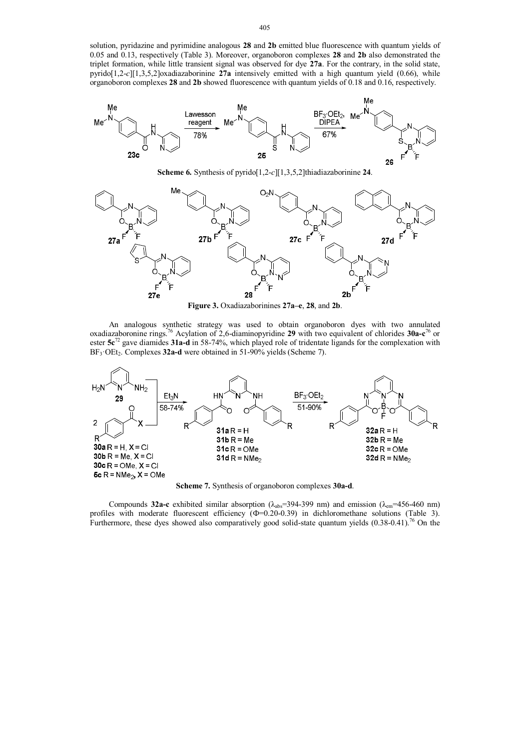solution, pyridazine and pyrimidine analogous **28** and **2b** emitted blue fluorescence with quantum yields of 0.05 and 0.13, respectively (Table 3). Moreover, organoboron complexes **28** and **2b** also demonstrated the triplet formation, while little transient signal was observed for dye **27a**. For the contrary, in the solid state, pyrido[1,2-*c*][1,3,5,2]oxadiazaborinine **27a** intensively emitted with a high quantum yield (0.66), while organoboron complexes **28** and **2b** showed fluorescence with quantum yields of 0.18 and 0.16, respectively.



**Scheme 6.** Synthesis of pyrido[1,2-*c*][1,3,5,2]thiadiazaborinine **24**.



**Figure 3.** Oxadiazaborinines **27a–e**, **28**, and **2b**.

An analogous synthetic strategy was used to obtain organoboron dyes with two annulated oxadiazaboronine rings.<sup>76</sup> Acylation of 2,6-diaminopyridine **29** with two equivalent of chlorides **30a-c** <sup>76</sup> or ester **5c**<sup>72</sup> gave diamides **31a-d** in 58-74%, which played role of tridentate ligands for the complexation with BF<sub>3</sub>·OEt<sub>2</sub>. Complexes 32a-d were obtained in 51-90% yields (Scheme 7).



**Scheme 7.** Synthesis of organoboron complexes **30a-d**.

Compounds **32a-c** exhibited similar absorption (λabs=394-399 nm) and emission (λem=456-460 nm) profiles with moderate fluorescent efficiency  $(\Phi=0.20-0.39)$  in dichloromethane solutions (Table 3). Furthermore, these dyes showed also comparatively good solid-state quantum yields  $(0.38-0.41)^{76}$  On the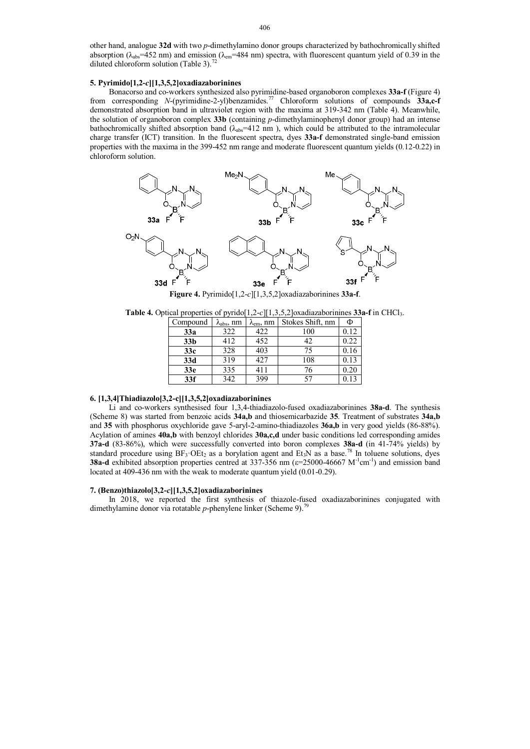other hand, analogue **32d** with two *p*-dimethylamino donor groups characterized by bathochromically shifted absorption ( $\lambda_{\text{abs}}=452$  nm) and emission ( $\lambda_{\text{em}}=484$  nm) spectra, with fluorescent quantum yield of 0.39 in the diluted chloroform solution (Table 3).<sup>72</sup>

## **5. Pyrimido[1,2-***c***][1,3,5,2]oxadiazaborinines**

Bonacorso and co-workers synthesized also pyrimidine-based organoboron complexes **33a-f** (Figure 4) from corresponding *N*-(pyrimidine-2-yl)benzamides.<sup>77</sup> Chloroform solutions of compounds **33a,c-f** demonstrated absorption band in ultraviolet region with the maxima at 319-342 nm (Table 4). Meanwhile, the solution of organoboron complex **33b** (containing *p*-dimethylaminophenyl donor group) had an intense bathochromically shifted absorption band  $(\lambda_{abs}=412 \text{ nm})$ , which could be attributed to the intramolecular charge transfer (ICT) transition. In the fluorescent spectra, dyes **33a-f** demonstrated single-band emission properties with the maxima in the 399-452 nm range and moderate fluorescent quantum yields (0.12-0.22) in chloroform solution.



**Table 4.** Optical properties of pyrido[1,2-*c*][1,3,5,2]oxadiazaborinines **33a-f** in CHCl3.

| Compound        | $\lambda_{\rm abs}, \text{nm}$ | $\lambda_{\text{em}}$ , nm | Stokes Shift, nm | Φ          |
|-----------------|--------------------------------|----------------------------|------------------|------------|
| 33a             | 322                            | 422                        | 100              | 0.12       |
| 33 <sub>b</sub> | 412                            | 452                        | 42               | 0.22       |
| 33c             | 328                            | 403                        | 75               | 0.16       |
| 33d             | 319                            | 427                        | 108              | 0.13       |
| 33 <sub>e</sub> | 335                            | 411                        | 76               | $\rm 0.20$ |
| 33f             | 342                            | 399                        | 57               |            |

## **6. [1,3,4]Thiadiazolo[3,2-c][1,3,5,2]oxadiazaborinines**

Li and co-workers synthesised four 1,3,4-thiadiazolo-fused oxadiazaborinines **38a-d**. The synthesis (Scheme 8) was started from benzoic acids **34a,b** and thiosemicarbazide **35**. Treatment of substrates **34a,b** and **35** with phosphorus oxychloride gave 5-aryl-2-amino-thiadiazoles **36a,b** in very good yields (86-88%). Acylation of amines **40a,b** with benzoyl chlorides **30a,c,d** under basic conditions led corresponding amides **37a-d** (83-86%), which were successfully converted into boron complexes **38a-d** (in 41-74% yields) by standard procedure using  $BF_3$ ·OEt<sub>2</sub> as a borylation agent and Et<sub>3</sub>N as a base.<sup>78</sup> In toluene solutions, dyes **38a-d** exhibited absorption properties centred at 337-356 nm (ε=25000-46667 M<sup>-1</sup>cm<sup>-1</sup>) and emission band located at 409-436 nm with the weak to moderate quantum yield (0.01-0.29).

## **7. (Benzo)thiazolo[3,2-***c***][1,3,5,2]oxadiazaborinines**

In 2018, we reported the first synthesis of thiazole-fused oxadiazaborinines conjugated with dimethylamine donor via rotatable *p*-phenylene linker (Scheme 9).<sup>79</sup>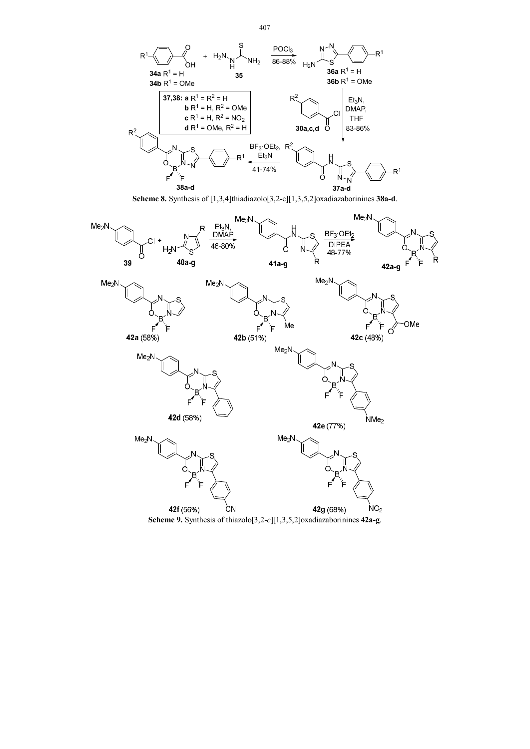

**Scheme 8.** Synthesis of [1,3,4]thiadiazolo[3,2-c][1,3,5,2]oxadiazaborinines **38a-d**.



**Scheme 9.** Synthesis of thiazolo[3,2-*c*][1,3,5,2]oxadiazaborinines **42a-g**.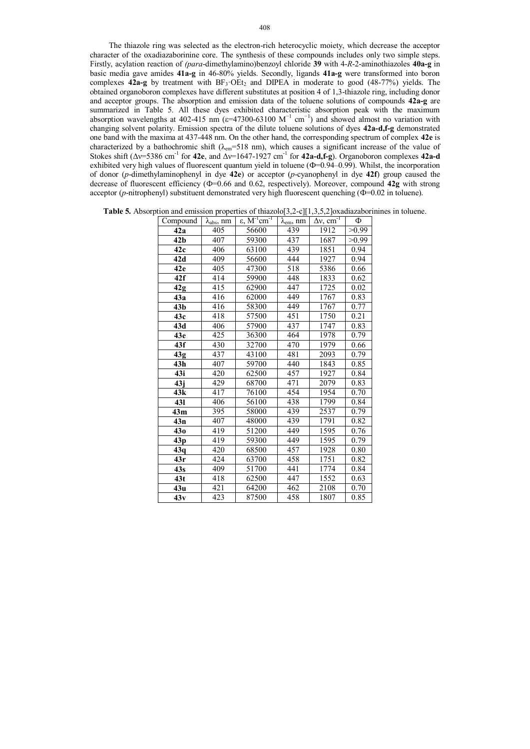The thiazole ring was selected as the electron-rich heterocyclic moiety, which decrease the acceptor character of the oxadiazaborinine core. The synthesis of these compounds includes only two simple steps. Firstly, acylation reaction of *(para*-dimethylamino)benzoyl chloride **39** with 4-*R*-2-aminothiazoles **40a-g** in basic media gave amides **41a-g** in 46-80% yields. Secondly, ligands **41a-g** were transformed into boron complexes **42a-g** by treatment with BF<sub>3</sub>·OEt<sub>2</sub> and DIPEA in moderate to good (48-77%) yields. The obtained organoboron complexes have different substitutes at position 4 of 1,3-thiazole ring, including donor and acceptor groups. The absorption and emission data of the toluene solutions of compounds **42a-g** are summarized in Table 5. All these dyes exhibited characteristic absorption peak with the maximum absorption wavelengths at 402-415 nm ( $\varepsilon$ =47300-63100 M<sup>-1</sup> cm<sup>-1</sup>) and showed almost no variation with changing solvent polarity. Emission spectra of the dilute toluene solutions of dyes **42a-d,f-g** demonstrated one band with the maxima at 437-448 nm. On the other hand, the corresponding spectrum of complex **42e** is characterized by a bathochromic shift ( $\lambda_{em}$ =518 nm), which causes a significant increase of the value of Stokes shift ( $Δv=5386$  cm<sup>-1</sup> for 42e, and  $Δv=1647-1927$  cm<sup>-1</sup> for 42a-d,f-g). Organoboron complexes 42a-d exhibited very high values of fluorescent quantum yield in toluene ( $\Phi$ =0.94–0.99). Whilst, the incorporation of donor (*p*-dimethylaminophenyl in dye **42e**) or acceptor (*p*-cyanophenyl in dye **42f**) group caused the decrease of fluorescent efficiency (Ф=0.66 and 0.62, respectively). Moreover, compound **42g** with strong acceptor (*p*-nitrophenyl) substituent demonstrated very high fluorescent quenching ( $\Phi$ =0.02 in toluene).

| <b>Table 5.</b> Absorption and emission properties of thiazolo[3,2-c][1,3,5,2]oxadiazaborinines in toluene. |  |  |  |  |  |  |  |
|-------------------------------------------------------------------------------------------------------------|--|--|--|--|--|--|--|
|                                                                                                             |  |  |  |  |  |  |  |

| Compound        | $\lambda_{\rm abs}$ , nm | $\varepsilon$ , $M^{-1}cm^{-1}$ | $\lambda_{em}$ , nm | $\Delta v$ , cm <sup>-T</sup> | Ф     |
|-----------------|--------------------------|---------------------------------|---------------------|-------------------------------|-------|
| 42a             | 405                      | 56600                           | 439                 | 1912                          | >0.99 |
| 42 <sub>b</sub> | 407                      | 59300                           | 437                 | 1687                          | >0.99 |
| 42c             | 406                      | 63100                           | 439                 | 1851                          | 0.94  |
| 42d             | 409                      | 56600                           | 444                 | 1927                          | 0.94  |
| 42e             | 405                      | 47300                           | 518                 | 5386                          | 0.66  |
| 42f             | 414                      | 59900                           | 448                 | 1833                          | 0.62  |
| 42g             | 415                      | 62900                           | 447                 | 1725                          | 0.02  |
| 43a             | 416                      | 62000                           | 449                 | 1767                          | 0.83  |
| 43 <sub>b</sub> | 416                      | 58300                           | 449                 | 1767                          | 0.77  |
| 43c             | 418                      | 57500                           | 451                 | 1750                          | 0.21  |
| 43d             | 406                      | 57900                           | 437                 | 1747                          | 0.83  |
| 43e             | 425                      | 36300                           | 464                 | 1978                          | 0.79  |
| 43f             | 430                      | 32700                           | 470                 | 1979                          | 0.66  |
| 43g             | 437                      | 43100                           | 481                 | 2093                          | 0.79  |
| 43h             | 407                      | 59700                           | 440                 | 1843                          | 0.85  |
| 43i             | 420                      | 62500                           | 457                 | 1927                          | 0.84  |
| 43j             | 429                      | 68700                           | 471                 | 2079                          | 0.83  |
| 43k             | 417                      | 76100                           | 454                 | 1954                          | 0.70  |
| 431             | 406                      | 56100                           | 438                 | 1799                          | 0.84  |
| 43m             | 395                      | 58000                           | 439                 | 2537                          | 0.79  |
| 43n             | 407                      | 48000                           | 439                 | 1791                          | 0.82  |
| 43 <sub>0</sub> | 419                      | 51200                           | 449                 | 1595                          | 0.76  |
| 43p             | 419                      | 59300                           | 449                 | 1595                          | 0.79  |
| 43q             | 420                      | 68500                           | 457                 | 1928                          | 0.80  |
| 43r             | 424                      | 63700                           | 458                 | 1751                          | 0.82  |
| 43s             | 409                      | 51700                           | 441                 | 1774                          | 0.84  |
| 43t             | 418                      | 62500                           | 447                 | 1552                          | 0.63  |
| 43u             | 421                      | 64200                           | 462                 | 2108                          | 0.70  |
| 43v             | 423                      | 87500                           | 458                 | 1807                          | 0.85  |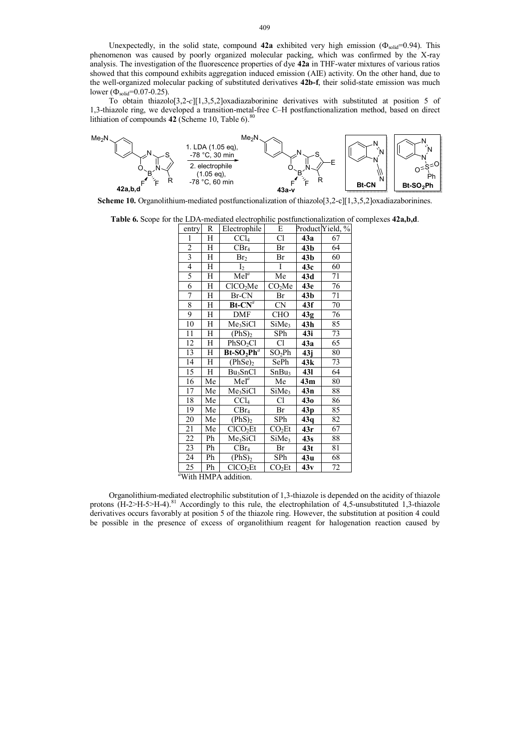Unexpectedly, in the solid state, compound  $42a$  exhibited very high emission ( $\Phi_{solid}$ =0.94). This phenomenon was caused by poorly organized molecular packing, which was confirmed by the X-ray analysis. The investigation of the fluorescence properties of dye **42a** in THF-water mixtures of various ratios showed that this compound exhibits aggregation induced emission (AIE) activity. On the other hand, due to the well-organized molecular packing of substituted derivatives **42b-f**, their solid-state emission was much lower ( $\Phi_{\text{solid}} = 0.07 - 0.25$ ).

To obtain thiazolo[3,2-*c*][1,3,5,2]oxadiazaborinine derivatives with substituted at position 5 of 1,3-thiazole ring, we developed a transition-metal-free C–H postfunctionalization method, based on direct lithiation of compounds **42** (Scheme 10, Table 6). 80



**Scheme 10.** Organolithium-mediated postfunctionalization of thiazolo[3,2-c][1,3,5,2]oxadiazaborinines.

**Table 6.** Scope for the LDA-mediated electrophilic postfunctionalization of complexes **42a,b,d**.

| entry                      | R  | Electrophile                  | E                      |                 | Product Yield, % |
|----------------------------|----|-------------------------------|------------------------|-----------------|------------------|
| 1                          | Η  | CCl <sub>4</sub>              | $\overline{\text{Cl}}$ | 43a             | 67               |
| $\overline{c}$             | Η  | CBr <sub>4</sub>              | Br                     | 43 <sub>b</sub> | 64               |
| $\overline{\mathbf{3}}$    | Η  | Br <sub>2</sub>               | Br                     | 43 <sub>b</sub> | 60               |
| $\overline{4}$             | Η  | I <sub>2</sub>                | Ī                      | 43c             | 60               |
| 5                          | Η  | $MeI^a$                       | Me                     | 43d             | 71               |
| 6                          | Η  | CICO <sub>2</sub> Me          | CO <sub>2</sub> Me     | 43e             | 76               |
| 7                          | Η  | Br-CN                         | Br                     | 43 <sub>b</sub> | 71               |
| 8                          | Η  | $Bt$ - $CNa$                  | CN                     | 43f             | 70               |
| 9                          | Н  | DMF                           | CHO                    | 43g             | 76               |
| 10                         | Η  | Me <sub>3</sub> SiCl          | SiMe <sub>3</sub>      | 43h             | 85               |
| 11                         | Η  | (PhS) <sub>2</sub>            | SPh                    | 43i             | 73               |
| 12                         | Η  | PhSO <sub>2</sub> Cl          | Cl                     | 43a             | 65               |
| 13                         | Η  | $Bt-SO2Pha$                   | $SO_2Ph$               | 43j             | 80               |
| 14                         | Η  | $(PhSe)_2$                    | SePh                   | 43k             | 73               |
| 15                         | H  | Bu <sub>3</sub> SnCl          | SnBu <sub>3</sub>      | <b>431</b>      | 64               |
| 16                         | Me | $MeI^a$                       | Me                     | 43m             | 80               |
| 17                         | Me | Me <sub>3</sub> SiCl          | SiMe <sub>3</sub>      | 43n             | 88               |
| 18                         | Me | CCl <sub>4</sub>              | Cl                     | 430             | 86               |
| 19                         | Me | CBr <sub>4</sub>              | Br                     | 43 <sub>p</sub> | 85               |
| 20                         | Me | $(\text{PhS})_2$              | SPh                    | 43q             | 82               |
| 21                         | Me | CICO <sub>2</sub> Et          | CO <sub>2</sub> Et     | 43r             | 67               |
| 22                         | Ph | Me <sub>3</sub> SiCl          | SiMe <sub>3</sub>      | 43s             | 88               |
| 23                         | Ph | CBr <sub>4</sub>              | Br                     | 43t             | 81               |
| 24                         | Ph | (PhS) <sub>2</sub>            | SPh                    | 43u             | 68               |
| 25<br>$d$ with $d$ and $d$ | Ph | CICO <sub>2</sub> Et<br>1.1.1 | CO <sub>2</sub> Et     | 43v             | 72               |

*<sup>a</sup>*With HMPA addition.

Organolithium-mediated electrophilic substitution of 1,3-thiazole is depended on the acidity of thiazole protons  $(H-2>H-5)H-4$ <sup>81</sup> Accordingly to this rule, the electrophilation of 4,5-unsubstituted 1,3-thiazole derivatives occurs favorably at position 5 of the thiazole ring. However, the substitution at position 4 could be possible in the presence of excess of organolithium reagent for halogenation reaction caused by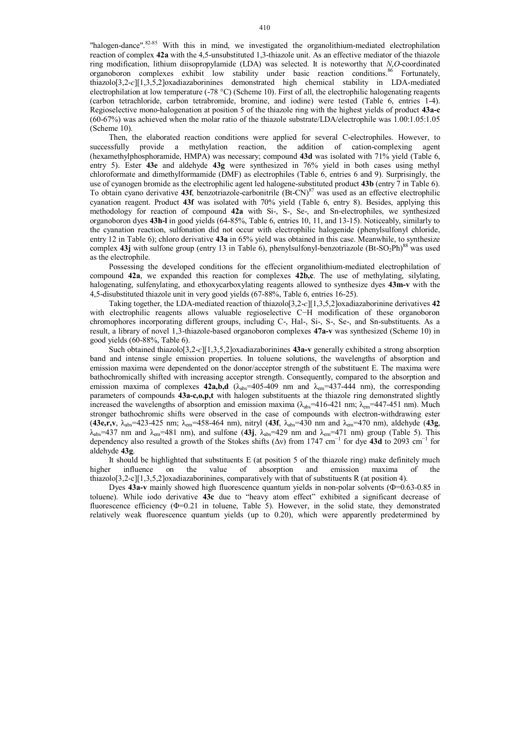"halogen-dance".<sup>82-85</sup> With this in mind, we investigated the organolithium-mediated electrophilation reaction of complex **42a** with the 4,5-unsubstituted 1,3-thiazole unit. As an effective mediator of the thiazole ring modification, lithium diisopropylamide (LDA) was selected. It is noteworthy that *N*,*O*-coordinated organoboron complexes exhibit low stability under basic reaction conditions. <sup>86</sup> Fortunately, thiazolo[3,2-*c*][1,3,5,2]oxadiazaborinines demonstrated high chemical stability in LDA-mediated electrophilation at low temperature (-78 °C) (Scheme 10). First of all, the electrophilic halogenating reagents (carbon tetrachloride, carbon tetrabromide, bromine, and iodine) were tested (Table 6, entries 1-4). Regioselective mono-halogenation at position 5 of the thiazole ring with the highest yields of product **43a-c** (60-67%) was achieved when the molar ratio of the thiazole substrate/LDA/electrophile was 1.00:1.05:1.05 (Scheme 10).

Then, the elaborated reaction conditions were applied for several C-electrophiles. However, to successfully provide a methylation reaction, the addition of cation-complexing agent (hexamethylphosphoramide, HMPA) was necessary; compound **43d** was isolated with 71% yield (Table 6, entry 5). Ester **43e** and aldehyde **43g** were synthesized in 76% yield in both cases using methyl chloroformate and dimethylformamide (DMF) as electrophiles (Table 6, entries 6 and 9). Surprisingly, the use of cyanogen bromide as the electrophilic agent led halogene-substituted product **43b** (entry 7 in Table 6). To obtain cyano derivative 43f, benzotriazole-carbonitrile (Bt-CN)<sup>87</sup> was used as an effective electrophilic cyanation reagent. Product **43f** was isolated with 70% yield (Table 6, entry 8). Besides, applying this methodology for reaction of compound **42a** with Si-, S-, Se-, and Sn-electrophiles, we synthesized organoboron dyes **43h-l** in good yields (64-85%, Table 6, entries 10, 11, and 13-15). Noticeably, similarly to the cyanation reaction, sulfonation did not occur with electrophilic halogenide (phenylsulfonyl chloride, entry 12 in Table 6); chloro derivative **43a** in 65% yield was obtained in this case. Meanwhile, to synthesize complex 43j with sulfone group (entry 13 in Table 6), phenylsulfonyl-benzotriazole (Bt-SO<sub>2</sub>Ph)<sup>88</sup> was used as the electrophile.

Possessing the developed conditions for the effecient organolithium-mediated electrophilation of compound **42a**, we expanded this reaction for complexes **42b,c**. The use of methylating, silylating, halogenating, sulfenylating, and ethoxycarboxylating reagents allowed to synthesize dyes **43m-v** with the 4,5-disubstituted thiazole unit in very good yields (67-88%, Table 6, entries 16-25).

Taking together, the LDA-mediated reaction of thiazolo[3,2-*c*][1,3,5,2]oxadiazaborinine derivatives **42** with electrophilic reagents allows valuable regioselective C−H modification of these organoboron chromophores incorporating different groups, including C-, Hal-, Si-, S-, Se-, and Sn-substituents. As a result, a library of novel 1,3-thiazole-based organoboron complexes **47a-v** was synthesized (Scheme 10) in good yields (60-88%, Table 6).

Such obtained thiazolo[3,2-*c*][1,3,5,2]oxadiazaborinines **43a-v** generally exhibited a strong absorption band and intense single emission properties. In toluene solutions, the wavelengths of absorption and emission maxima were dependented on the donor/acceptor strength of the substituent E. The maxima were bathochromically shifted with increasing acceptor strength. Consequently, compared to the absorption and emission maxima of complexes **42a,b,d** ( $\lambda_{\text{abs}}$ =405-409 nm and  $\lambda_{\text{em}}$ =437-444 nm), the corresponding parameters of compounds **43a-c,o,p,t** with halogen substituents at the thiazole ring demonstrated slightly increased the wavelengths of absorption and emission maxima ( $\lambda_{\text{abs}}$ =416-421 nm;  $\lambda_{\text{em}}$ =447-451 nm). Much stronger bathochromic shifts were observed in the case of compounds with electron-withdrawing ester (**43e,r,v**, λabs=423-425 nm; λem=458-464 nm), nitryl (**43f**, λabs=430 nm and λem=470 nm), aldehyde (**43g**,  $\lambda_{\text{abs}}$ =437 nm and  $\lambda_{\text{em}}$ =481 nm), and sulfone (43j,  $\lambda_{\text{abs}}$ =429 nm and  $\lambda_{\text{em}}$ =471 nm) group (Table 5). This dependency also resulted a growth of the Stokes shifts (Δν) from 1747 cm<sup>-1</sup> for dye **43d** to 2093 cm<sup>-1</sup> for aldehyde **43g**.

It should be highlighted that substituents E (at position 5 of the thiazole ring) make definitely much higher influence on the value of absorption and emission maxima of the thiazolo[3,2-c][1,3,5,2]oxadiazaborinines, comparatively with that of substituents R (at position 4).

Dyes 43a-v mainly showed high fluorescence quantum yields in non-polar solvents (Φ=0.63-0.85 in toluene). While iodo derivative **43c** due to "heavy atom effect" exhibited a significant decrease of fluorescence efficiency (Φ=0.21 in toluene, Table 5). However, in the solid state, they demonstrated relatively weak fluorescence quantum yields (up to 0.20), which were apparently predetermined by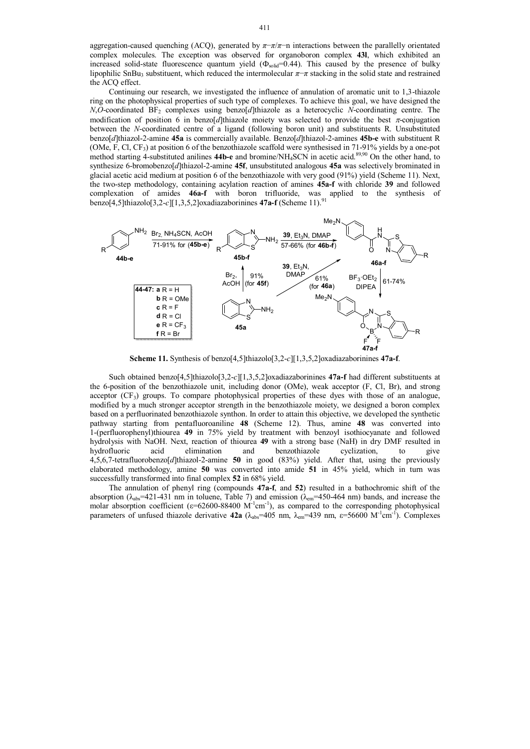aggregation-caused quenching (ACQ), generated by *π*−*π*/*π*−n interactions between the parallelly orientated complex molecules. The exception was observed for organoboron complex **43l**, which exhibited an increased solid-state fluorescence quantum yield  $(\Phi_{\text{solid}}=0.44)$ . This caused by the presence of bulky lipophilic SnBu<sup>3</sup> substituent, which reduced the intermolecular *π*−*π* stacking in the solid state and restrained the ACQ effect.

Continuing our research, we investigated the influence of annulation of aromatic unit to 1,3-thiazole ring on the photophysical properties of such type of complexes. To achieve this goal, we have designed the *N*,*O*-coordinated BF<sub>2</sub> complexes using benzo[*d*]thiazole as a heterocyclic *N*-coordinating centre. The modification of position 6 in benzo[*d*]thiazole moiety was selected to provide the best  $\pi$ -conjugation between the *N*-coordinated centre of a ligand (following boron unit) and substituents R. Unsubstituted benzo[*d*]thiazol-2-amine **45a** is commercially available. Benzo[*d*]thiazol-2-amines **45b-e** with substituent R (OMe, F, Cl, CF<sub>3</sub>) at position 6 of the benzothiazole scaffold were synthesised in 71-91% yields by a one-pot method starting 4-substituted anilines **44b-e** and bromine/NH4SCN in acetic acid.89,90 On the other hand, to synthesize 6-bromobenzo[*d*]thiazol-2-amine **45f**, unsubstituted analogous **45a** was selectively brominated in glacial acetic acid medium at position 6 of the benzothiazole with very good (91%) yield (Scheme 11). Next, the two-step methodology, containing acylation reaction of amines **45a-f** with chloride **39** and followed complexation of amides **46a-f** with boron trifluoride, was applied to the synthesis of benzo[4,5]thiazolo[3,2-*c*][1,3,5,2]oxadiazaborinines **47a-f** (Scheme 11).<sup>91</sup>



**Scheme 11.** Synthesis of benzo[4,5]thiazolo[3,2-*c*][1,3,5,2]oxadiazaborinines **47a-f**.

Such obtained benzo[4,5]thiazolo[3,2-*c*][1,3,5,2]oxadiazaborinines **47a-f** had different substituents at the 6-position of the benzothiazole unit, including donor (OMe), weak acceptor (F, Cl, Br), and strong acceptor (CF<sub>3</sub>) groups. To compare photophysical properties of these dyes with those of an analogue, modified by a much stronger acceptor strength in the benzothiazole moiety, we designed a boron complex based on a perfluorinated benzothiazole synthon. In order to attain this objective, we developed the synthetic pathway starting from pentafluoroaniline **48** (Scheme 12). Thus, amine **48** was converted into 1-(perfluorophenyl)thiourea **49** in 75% yield by treatment with benzoyl isothiocyanate and followed hydrolysis with NaOH. Next, reaction of thiourea **49** with a strong base (NaH) in dry DMF resulted in hydrofluoric acid elimination and benzothiazole cyclization, to give 4,5,6,7-tetrafluorobenzo[*d*]thiazol-2-amine **50** in good (83%) yield. After that, using the previously elaborated methodology, amine **50** was converted into amide **51** in 45% yield, which in turn was successfully transformed into final complex **52** in 68% yield.

The annulation of phenyl ring (compounds **47a-f**, and **52**) resulted in a bathochromic shift of the absorption  $(\lambda_{\text{abs}}=421-431 \text{ nm}$  in toluene, Table 7) and emission  $(\lambda_{\text{em}}=450-464 \text{ nm})$  bands, and increase the molar absorption coefficient ( $\varepsilon$ =62600-88400 M<sup>-1</sup>cm<sup>-1</sup>), as compared to the corresponding photophysical parameters of unfused thiazole derivative **42a** ( $\lambda_{abs}$ =405 nm,  $\lambda_{em}$ =439 nm,  $\epsilon$ =56600 M<sup>-1</sup>cm<sup>-f</sup>). Complexes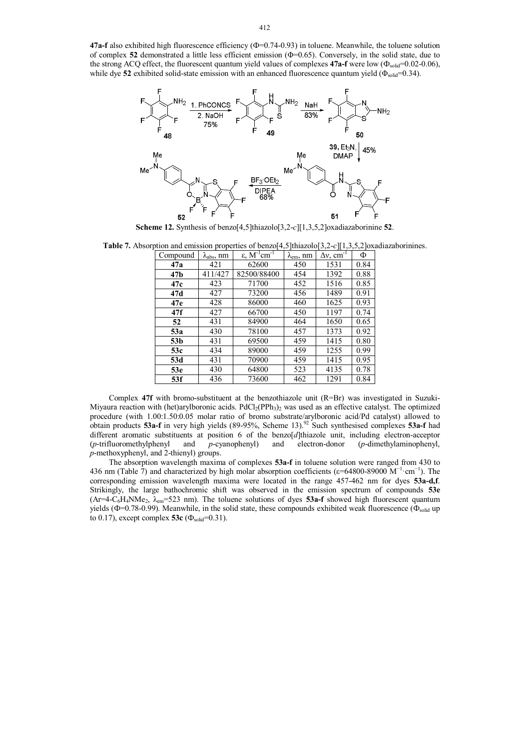**47a-f** also exhibited high fluorescence efficiency ( $\Phi$ =0.74-0.93) in toluene. Meanwhile, the toluene solution of complex **52** demonstrated a little less efficient emission (Φ=0.65). Conversely, in the solid state, due to the strong ACQ effect, the fluorescent quantum yield values of complexes 47a-f were low ( $\Phi_{solid}$ =0.02-0.06), while dye **52** exhibited solid-state emission with an enhanced fluorescence quantum yield (Φ<sub>solid</sub>=0.34).



**Scheme 12.** Synthesis of benzo[4,5]thiazolo[3,2-*c*][1,3,5,2]oxadiazaborinine **52**.

**Table 7.** Absorption and emission properties of benzo[4,5]thiazolo[3,2-*c*][1,3,5,2]oxadiazaborinines.

| Compound        | $\lambda_{\text{abs}}, \text{nm}$ | $ε, M-1 cm-1$ | $\lambda_{em}$ , nm | $\Delta v$ , cm <sup>-1</sup> | Φ    |
|-----------------|-----------------------------------|---------------|---------------------|-------------------------------|------|
| 47a             | 421                               | 62600         | 450                 | 1531                          | 0.84 |
| 47b             | 411/427                           | 82500/88400   | 454                 | 1392                          | 0.88 |
| 47c             | 423                               | 71700         | 452                 | 1516                          | 0.85 |
| 47d             | 427                               | 73200         | 456                 | 1489                          | 0.91 |
| 47e             | 428                               | 86000         | 460                 | 1625                          | 0.93 |
| 47f             | 427                               | 66700         | 450                 | 1197                          | 0.74 |
| 52              | 431                               | 84900         | 464                 | 1650                          | 0.65 |
| 53a             | 430                               | 78100         | 457                 | 1373                          | 0.92 |
| 53 <sub>b</sub> | 431                               | 69500         | 459                 | 1415                          | 0.80 |
| 53c             | 434                               | 89000         | 459                 | 1255                          | 0.99 |
| 53d             | 431                               | 70900         | 459                 | 1415                          | 0.95 |
| 53 <sub>e</sub> | 430                               | 64800         | 523                 | 4135                          | 0.78 |
| 53f             | 436                               | 73600         | 462                 | 1291                          | 0.84 |

Complex **47f** with bromo-substituent at the benzothiazole unit (R=Br) was investigated in Suzuki-Miyaura reaction with (het)arylboronic acids.  $PdCl<sub>2</sub>(PPh<sub>3</sub>)<sub>2</sub>$  was used as an effective catalyst. The optimized procedure (with 1.00:1.50:0.05 molar ratio of bromo substrate/arylboronic acid/Pd catalyst) allowed to obtain products **53a-f** in very high yields (89-95%, Scheme 13).<sup>92</sup> Such synthesised complexes **53a-f** had different aromatic substituents at position 6 of the benzo<sup>[d]</sup>thiazole unit, including electron-acceptor (p-trifluoromethylphenyl) and p-cyanophenyl) and electron-donor (p-dimethylaminophenyl, (*p*-trifluoromethylphenyl and *p*-cyanophenyl) and electron-donor (*p*-dimethylaminophenyl, *p*-methoxyphenyl, and 2-thienyl) groups.

The absorption wavelength maxima of complexes **53a-f** in toluene solution were ranged from 430 to 436 nm (Table  $\hat{7}$ ) and characterized by high molar absorption coefficients ( $\varepsilon$ =64800-89000 M<sup>-1</sup>·cm<sup>-1</sup>). The corresponding emission wavelength maxima were located in the range 457-462 nm for dyes **53a-d,f**. Strikingly, the large bathochromic shift was observed in the emission spectrum of compounds **53e**  $(Ar=4-C<sub>6</sub>H<sub>4</sub>NMe<sub>2</sub>, \lambda<sub>em</sub>=523 nm)$ . The toluene solutions of dyes **53a-f** showed high fluorescent quantum yields ( $\Phi$ =0.78-0.99). Meanwhile, in the solid state, these compounds exhibited weak fluorescence ( $\Phi_{\text{solid}}$  up to 0.17), except complex **53c** ( $\Phi_{\text{solid}}$ =0.31).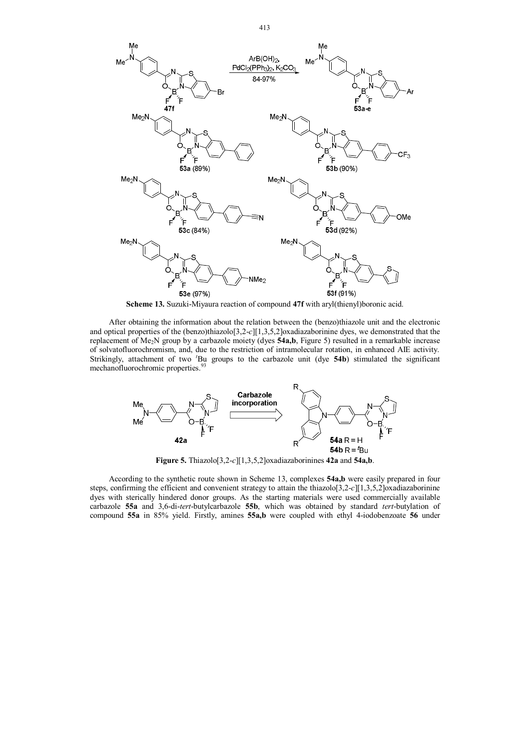

**Scheme 13.** Suzuki-Miyaura reaction of compound **47f** with aryl(thienyl)boronic acid.

After obtaining the information about the relation between the (benzo)thiazole unit and the electronic and optical properties of the (benzo)thiazolo[3,2-*c*][1,3,5,2]oxadiazaborinine dyes, we demonstrated that the replacement of Me2N group by a carbazole moiety (dyes **54a,b**, Figure 5) resulted in a remarkable increase of solvatofluorochromism, and, due to the restriction of intramolecular rotation, in enhanced AIE activity. Strikingly, attachment of two *<sup>t</sup>*Bu groups to the carbazole unit (dye **54b**) stimulated the significant mechanofluorochromic properties.<sup>93</sup>



**Figure 5.** Thiazolo[3,2-*c*][1,3,5,2]oxadiazaborinines **42a** and **54a,b**.

According to the synthetic route shown in Scheme 13, complexes **54a,b** were easily prepared in four steps, confirming the efficient and convenient strategy to attain the thiazolo[3,2-*c*][1,3,5,2]oxadiazaborinine dyes with sterically hindered donor groups. As the starting materials were used commercially available carbazole **55a** and 3,6-di-*tert*-butylcarbazole **55b**, which was obtained by standard *tert*-butylation of compound **55a** in 85% yield. Firstly, amines **55a,b** were coupled with ethyl 4-iodobenzoate **56** under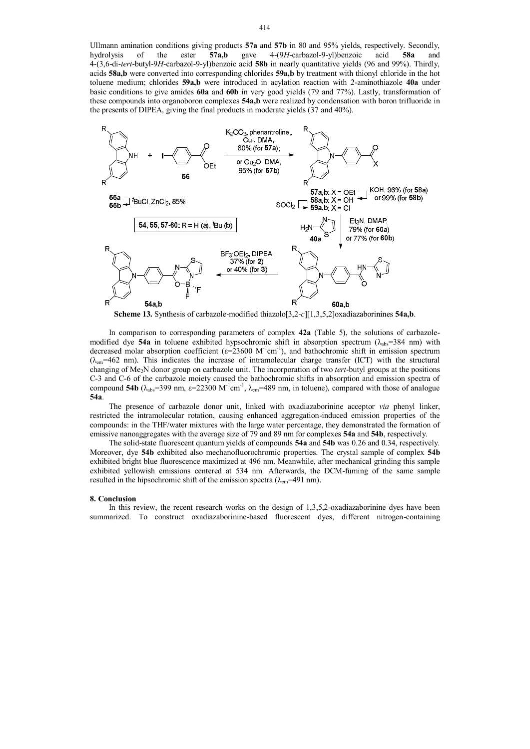Ullmann amination conditions giving products **57a** and **57b** in 80 and 95% yields, respectively. Secondly, hydrolysis of the ester **57a,b** gave 4-(9*H*-carbazol-9-yl)benzoic acid **58a** and 4-(3,6-di-*tert*-butyl-9*H*-carbazol-9-yl)benzoic acid **58b** in nearly quantitative yields (96 and 99%). Thirdly, acids **58a,b** were converted into corresponding chlorides **59a,b** by treatment with thionyl chloride in the hot toluene medium; chlorides **59a,b** were introduced in acylation reaction with 2-aminothiazole **40a** under basic conditions to give amides **60a** and **60b** in very good yields (79 and 77%). Lastly, transformation of these compounds into organoboron complexes **54a,b** were realized by condensation with boron trifluoride in the presents of DIPEA, giving the final products in moderate yields (37 and 40%).



**Scheme 13.** Synthesis of carbazole-modified thiazolo[3,2-*c*][1,3,5,2]oxadiazaborinines **54a,b**.

In comparison to corresponding parameters of complex **42a** (Table 5), the solutions of carbazolemodified dye **54a** in toluene exhibited hypsochromic shift in absorption spectrum ( $\lambda_{abs}$ =384 nm) with decreased molar absorption coefficient ( $\varepsilon = 23600 \text{ M}^{-1} \text{cm}^{-1}$ ), and bathochromic shift in emission spectrum  $(\lambda_{em} = 462 \text{ nm})$ . This indicates the increase of intramolecular charge transfer (ICT) with the structural changing of Me2N donor group on carbazole unit. The incorporation of two *tert*-butyl groups at the positions C-3 and C-6 of the carbazole moiety caused the bathochromic shifts in absorption and emission spectra of compound **54b** ( $\lambda_{\text{abs}}$ =399 nm,  $\epsilon$ =22300 M<sup>-1</sup>cm<sup>-1</sup>,  $\lambda_{\text{em}}$ =489 nm, in toluene), compared with those of analogue **54a**.

The presence of carbazole donor unit, linked with oxadiazaborinine acceptor *via* phenyl linker, restricted the intramolecular rotation, causing enhanced aggregation-induced emission properties of the compounds: in the THF/water mixtures with the large water percentage, they demonstrated the formation of emissive nanoaggregates with the average size of 79 and 89 nm for complexes **54a** and **54b**, respectively.

The solid-state fluorescent quantum yields of compounds **54a** and **54b** was 0.26 and 0.34, respectively. Moreover, dye **54b** exhibited also mechanofluorochromic properties. The crystal sample of complex **54b** exhibited bright blue fluorescence maximized at 496 nm. Meanwhile, after mechanical grinding this sample exhibited yellowish emissions centered at 534 nm. Afterwards, the DCM-fuming of the same sample resulted in the hipsochromic shift of the emission spectra ( $\lambda_{em}$ =491 nm).

#### **8. Conclusion**

In this review, the recent research works on the design of 1,3,5,2-oxadiazaborinine dyes have been summarized. To construct oxadiazaborinine-based fluorescent dyes, different nitrogen-containing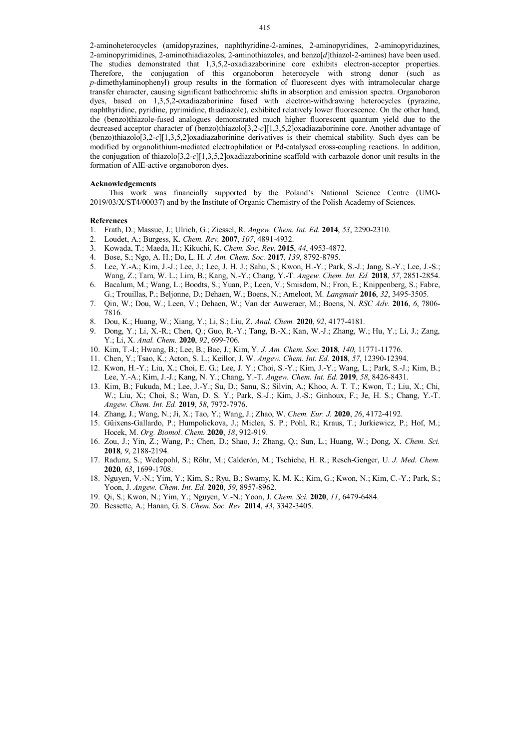2-aminoheterocycles (amidopyrazines, naphthyridine-2-amines, 2-aminopyridines, 2-aminopyridazines, 2-aminopyrimidines, 2-aminothiadiazoles, 2-aminothiazoles, and benzo[*d*]thiazol-2-amines) have been used. The studies demonstrated that 1,3,5,2-oxadiazaborinine core exhibits electron-acceptor properties. Therefore, the conjugation of this organoboron heterocycle with strong donor (such as *p*-dimethylaminophenyl) group results in the formation of fluorescent dyes with intramolecular charge transfer character, causing significant bathochromic shifts in absorption and emission spectra. Organoboron dyes, based on 1,3,5,2-oxadiazaborinine fused with electron-withdrawing heterocycles (pyrazine, naphthyridine, pyridine, pyrimidine, thiadiazole), exhibited relatively lower fluorescence. On the other hand, the (benzo)thiazole-fused analogues demonstrated much higher fluorescent quantum yield due to the decreased acceptor character of (benzo)thiazolo[3,2-*c*][1,3,5,2]oxadiazaborinine core. Another advantage of (benzo)thiazolo[3,2-*c*][1,3,5,2]oxadiazaborinine derivatives is their chemical stability. Such dyes can be modified by organolithium-mediated electrophilation or Pd-catalysed cross-coupling reactions. In addition, the conjugation of thiazolo[3,2-*c*][1,3,5,2]oxadiazaborinine scaffold with carbazole donor unit results in the formation of AIE-active organoboron dyes.

#### **Acknowledgements**

This work was financially supported by the Poland's National Science Centre (UMO-2019/03/X/ST4/00037) and by the Institute of Organic Chemistry of the Polish Academy of Sciences.

#### **References**

- 1. Frath, D.; Massue, J.; Ulrich, G.; Ziessel, R. *Angew. Chem. Int. Ed.* **2014**, *53*, 2290-2310.
- 2. Loudet, A.; Burgess, K. *Chem. Rev.* **2007**, *107*, 4891-4932.
- 3. Kowada, T.; Maeda, H.; Kikuchi, K. *Chem. Soc. Rev.* **2015**, *44*, 4953-4872.
- 4. Bose, S.; Ngo, A. H.; Do, L. H. *J. Am. Chem. Soc.* **2017**, *139*, 8792-8795.
- 5. Lee, Y.-A.; Kim, J.-J.; Lee, J.; Lee, J. H. J.; Sahu, S.; Kwon, H.-Y.; Park, S.-J.; Jang, S.-Y.; Lee, J.-S.; Wang, Z.; Tam, W. L.; Lim, B.; Kang, N.-Y.; Chang, Y.-T. *Angew. Chem. Int. Ed.* **2018**, *57*, 2851-2854.
- 6. Bacalum, M.; Wang, L.; Boodts, S.; Yuan, P.; Leen, V.; Smisdom, N.; Fron, E.; Knippenberg, S.; Fabre, G.; Trouillas, P.; Beljonne, D.; Dehaen, W.; Boens, N.; Ameloot, M. *Langmuir* **2016**, *32*, 3495-3505.
- 7. Qin, W.; Dou, W.; Leen, V.; Dehaen, W.; Van der Auweraer, M.; Boens, N. *RSC Adv.* **2016**, *6*, 7806- 7816.
- 8. Dou, K.; Huang, W.; Xiang, Y.; Li, S.; Liu, Z. *Anal. Chem.* **2020**, *92*, 4177-4181.
- 9. Dong, Y.; Li, X.-R.; Chen, Q.; Guo, R.-Y.; Tang, B.-X.; Kan, W.-J.; Zhang, W.; Hu, Y.; Li, J.; Zang, Y.; Li, X. *Anal. Chem.* **2020**, *92*, 699-706.
- 10. Kim, T.-I.; Hwang, B.; Lee, B.; Bae, J.; Kim, Y. *J. Am. Chem. Soc.* **2018**, *140*, 11771-11776.
- 11. Chen, Y.; Tsao, K.; Acton, S. L.; Keillor, J. W. *Angew. Chem. Int. Ed.* **2018**, *57*, 12390-12394.
- 12. Kwon, H.-Y.; Liu, X.; Choi, E. G.; Lee, J. Y.; Choi, S.-Y.; Kim, J.-Y.; Wang, L.; Park, S.-J.; Kim, B.; Lee, Y.-A.; Kim, J.-J.; Kang, N. Y.; Chang, Y.-T. *Angew. Chem. Int. Ed.* **2019**, *58*, 8426-8431.
- 13. Kim, B.; Fukuda, M.; Lee, J.-Y.; Su, D.; Sanu, S.; Silvin, A.; Khoo, A. T. T.; Kwon, T.; Liu, X.; Chi, W.; Liu, X.; Choi, S.; Wan, D. S. Y.; Park, S.-J.; Kim, J.-S.; Ginhoux, F.; Je, H. S.; Chang, Y.-T. *Angew. Chem. Int. Ed.* **2019**, *58*, 7972-7976.
- 14. Zhang, J.; Wang, N.; Ji, X.; Tao, Y.; Wang, J.; Zhao, W. *Chem. Eur. J.* **2020**, *26*, 4172-4192.
- 15. Güixens-Gallardo, P.; Humpolickova, J.; Miclea, S. P.; Pohl, R.; Kraus, T.; Jurkiewicz, P.; Hof, M.; Hocek, M. *Org. Biomol. Chem.* **2020**, *18*, 912-919.
- 16. Zou, J.; Yin, Z.; Wang, P.; Chen, D.; Shao, J.; Zhang, Q.; Sun, L.; Huang, W.; Dong, X. *Chem. Sci.* **2018**, *9*, 2188-2194.
- 17. Radunz, S.; Wedepohl, S.; Röhr, M.; Calderón, M.; Tschiche, H. R.; Resch-Genger, U. *J. Med. Chem.* **2020**, *63*, 1699-1708.
- 18. Nguyen, V.-N.; Yim, Y.; Kim, S.; Ryu, B.; Swamy, K. M. K.; Kim, G.; Kwon, N.; Kim, C.-Y.; Park, S.; Yoon, J. *Angew. Chem. Int. Ed.* **2020**, *59*, 8957-8962.
- 19. Qi, S.; Kwon, N.; Yim, Y.; Nguyen, V.-N.; Yoon, J. *Chem. Sci.* **2020**, *11*, 6479-6484.
- 20. Bessette, A.; Hanan, G. S. *Chem. Soc. Rev.* **2014**, *43*, 3342-3405.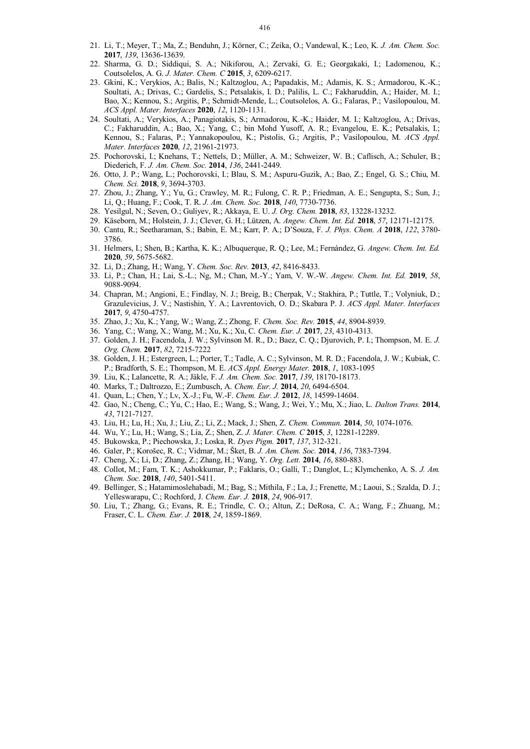- 21. Li, T.; Meyer, T.; Ma, Z.; Benduhn, J.; Körner, C.; Zeika, O.; Vandewal, K.; Leo, K. *J. Am. Chem. Soc.* **2017**, *139*, 13636-13639.
- 22. Sharma, G. D.; Siddiqui, S. A.; Nikiforou, A.; Zervaki, G. E.; Georgakaki, I.; Ladomenou, K.; Coutsolelos, A. G. *J. Mater. Chem. C* **2015**, *3*, 6209-6217.
- 23. Gkini, K.; Verykios, A.; Balis, N.; Kaltzoglou, A.; Papadakis, M.; Adamis, K. S.; Armadorou, K.-K.; Soultati, A.; Drivas, C.; Gardelis, S.; Petsalakis, I. D.; Palilis, L. C.; Fakharuddin, A.; Haider, M. I.; Bao, X.; Kennou, S.; Argitis, P.; Schmidt-Mende, L.; Coutsolelos, A. G.; Falaras, P.; Vasilopoulou, M. *ACS Appl. Mater. Interfaces* **2020**, *12*, 1120-1131.
- 24. Soultati, A.; Verykios, A.; Panagiotakis, S.; Armadorou, K.-K.; Haider, M. I.; Kaltzoglou, A.; Drivas, C.; Fakharuddin, A.; Bao, X.; Yang, C.; bin Mohd Yusoff, A. R.; Evangelou, E. K.; Petsalakis, I.; Kennou, S.; Falaras, P.; Yannakopoulou, K.; Pistolis, G.; Argitis, P.; Vasilopoulou, M. *ACS Appl. Mater. Interfaces* **2020**, *12*, 21961-21973.
- 25. Pochorovski, I.; Knehans, T.; Nettels, D.; Müller, A. M.; Schweizer, W. B.; Caflisch, A.; Schuler, B.; Diederich, F. *J. Am. Chem. Soc.* **2014**, *136*, 2441-2449.
- 26. Otto, J. P.; Wang, L.; Pochorovski, I.; Blau, S. M.; Aspuru-Guzik, A.; Bao, Z.; Engel, G. S.; Chiu, M. *Chem. Sci.* **2018**, *9*, 3694-3703.
- 27. Zhou, J.; Zhang, Y.; Yu, G.; Crawley, M. R.; Fulong, C. R. P.; Friedman, A. E.; Sengupta, S.; Sun, J.; Li, Q.; Huang, F.; Cook, T. R. *J. Am. Chem. Soc.* **2018**, *140*, 7730-7736.
- 28. Yesilgul, N.; Seven, O.; Guliyev, R.; Akkaya, E. U. *J. Org. Chem.* **2018**, *83*, 13228-13232.
- 29. Käseborn, M.; Holstein, J. J.; Clever, G. H.; Lützen, A. *Angew. Chem. Int. Ed.* **2018**, *57*, 12171-12175.
- 30. Cantu, R.; Seetharaman, S.; Babin, E. M.; Karr, P. A.; D'Souza, F. *J. Phys. Chem. A* **2018**, *122*, 3780- 3786.
- 31. Helmers, I.; Shen, B.; Kartha, K. K.; Albuquerque, R. Q.; Lee, M.; Fernández, G. *Angew. Chem. Int. Ed.* **2020**, *59*, 5675-5682.
- 32. Li, D.; Zhang, H.; Wang, Y. *Chem. Soc. Rev.* **2013**, *42*, 8416-8433.
- 33. Li, P.; Chan, H.; Lai, S.-L.; Ng, M.; Chan, M.-Y.; Yam, V. W.-W. *Angew. Chem. Int. Ed.* **2019**, *58*, 9088-9094.
- 34. Chapran, M.; Angioni, E.; Findlay, N. J.; Breig, B.; Cherpak, V.; Stakhira, P.; Tuttle, T.; Volyniuk, D.; Grazulevicius, J. V.; Nastishin, Y. A.; Lavrentovich, O. D.; Skabara P. J. *ACS Appl. Mater. Interfaces* **2017**, *9*, 4750-4757.
- 35. Zhao, J.; Xu, K.; Yang, W.; Wang, Z.; Zhong, F. *Chem. Soc. Rev.* **2015**, *44*, 8904-8939.
- 36. Yang, C.; Wang, X.; Wang, M.; Xu, K.; Xu, C. *Chem. Eur. J.* **2017**, *23*, 4310-4313.
- 37. Golden, J. H.; Facendola, J. W.; Sylvinson M. R., D.; Baez, C. Q.; Djurovich, P. I.; Thompson, M. E. *J. Org. Chem.* **2017**, *82*, 7215-7222
- 38. Golden, J. H.; Estergreen, L.; Porter, T.; Tadle, A. C.; Sylvinson, M. R. D.; Facendola, J. W.; Kubiak, C. P.; Bradforth, S. E.; Thompson, M. E. *ACS Appl. Energy Mater.* **2018**, *1*, 1083-1095
- 39. Liu, K.; Lalancette, R. A.; Jäkle, F. *J. Am. Chem. Soc.* **2017**, *139*, 18170-18173.
- 40. Marks, T.; Daltrozzo, E.; Zumbusch, A. *Chem. Eur. J.* **2014**, *20*, 6494-6504.
- 41. Quan, L.; Chen, Y.; Lv, X.-J.; Fu, W.-F. *Chem. Eur. J.* **2012**, *18*, 14599-14604.
- 42. Gao, N.; Cheng, C.; Yu, C.; Hao, E.; Wang, S.; Wang, J.; Wei, Y.; Mu, X.; Jiao, L. *Dalton Trans.* **2014**, *43*, 7121-7127.
- 43. Liu, H.; Lu, H.; Xu, J.; Liu, Z.; Li, Z.; Mack, J.; Shen, Z. *Chem. Commun.* **2014**, *50*, 1074-1076.
- 44. Wu, Y.; Lu, H.; Wang, S.; Lia, Z.; Shen, Z. *J. Mater. Chem. C* **2015**, *3*, 12281-12289.
- 45. Bukowska, P.; Piechowska, J.; Loska, R. *Dyes Pigm.* **2017**, *137*, 312-321.
- 46. Galer, P.; Korošec, R. C.; Vidmar, M.; Šket, B. *J. Am. Chem. Soc.* **2014**, *136*, 7383-7394.
- 47. Cheng, X.; Li, D.; Zhang, Z.; Zhang, H.; Wang, Y. *Org. Lett.* **2014**, *16*, 880-883.
- 48. Collot, M.; Fam, T. K.; Ashokkumar, P.; Faklaris, O.; Galli, T.; Danglot, L.; Klymchenko, A. S. *J. Am. Chem. Soc.* **2018**, *140*, 5401-5411.
- 49. Bellinger, S.; Hatamimoslehabadi, M.; Bag, S.; Mithila, F.; La, J.; Frenette, M.; Laoui, S.; Szalda, D. J.; Yelleswarapu, C.; Rochford, J. *Chem. Eur. J.* **2018**, *24*, 906-917.
- 50. Liu, T.; Zhang, G.; Evans, R. E.; Trindle, C. O.; Altun, Z.; DeRosa, C. A.; Wang, F.; Zhuang, M.; Fraser, C. L. *Chem. Eur. J.* **2018**, *24*, 1859-1869.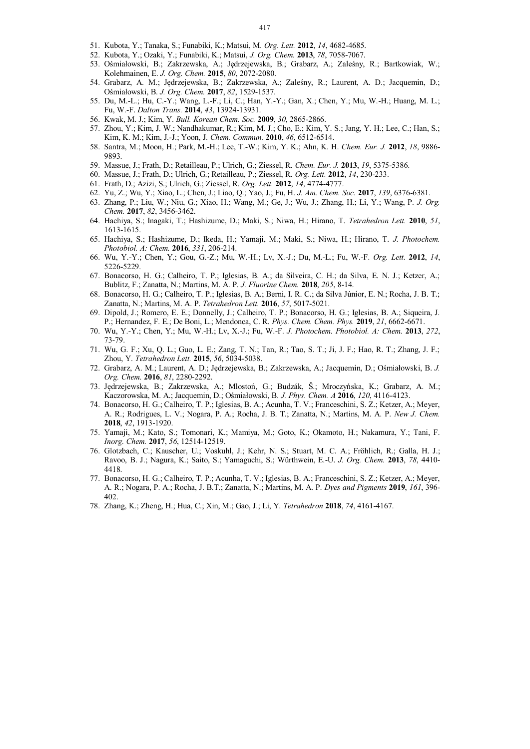- 51. Kubota, Y.; Tanaka, S.; Funabiki, K.; Matsui, M. *Org. Lett.* **2012**, *14*, 4682-4685.
- 52. Kubota, Y.; Ozaki, Y.; Funabiki, K.; Matsui, *J. Org. Chem.* **2013**, *78*, 7058-7067.
- 53. Ośmiałowski, B.; Zakrzewska, A.; Jędrzejewska, B.; Grabarz, A.; Zaleśny, R.; Bartkowiak, W.; Kolehmainen, E. *J. Org. Chem.* **2015**, *80*, 2072-2080.
- 54. Grabarz, A. M.; Jędrzejewska, B.; Zakrzewska, A.; Zaleśny, R.; Laurent, A. D.; Jacquemin, D.; Ośmiałowski, B. *J. Org. Chem.* **2017**, *82*, 1529-1537.
- 55. Du, M.-L.; Hu, C.-Y.; Wang, L.-F.; Li, C.; Han, Y.-Y.; Gan, X.; Chen, Y.; Mu, W.-H.; Huang, M. L.; Fu, W.-F. *Dalton Trans.* **2014**, *43*, 13924-13931.
- 56. Kwak, M. J.; Kim, Y. *Bull. Korean Chem. Soc.* **2009**, *30*, 2865-2866.
- 57. Zhou, Y.; Kim, J. W.; Nandhakumar, R.; Kim, M. J.; Cho, E.; Kim, Y. S.; Jang, Y. H.; Lee, C.; Han, S.; Kim, K. M.; Kim, J.-J.; Yoon, J. *Chem. Commun.* **2010**, *46*, 6512-6514.
- 58. Santra, M.; Moon, H.; Park, M.-H.; Lee, T.-W.; Kim, Y. K.; Ahn, K. H. *Chem. Eur. J.* **2012**, *18*, 9886- 9893.
- 59. Massue, J.; Frath, D.; Retailleau, P.; Ulrich, G.; Ziessel, R. *Chem. Eur. J.* **2013**, *19*, 5375-5386.
- 60. Massue, J.; Frath, D.; Ulrich, G.; Retailleau, P.; Ziessel, R. *Org. Lett.* **2012**, *14*, 230-233.
- 61. Frath, D.; Azizi, S.; Ulrich, G.; Ziessel, R. *Org. Lett.* **2012**, *14*, 4774-4777.
- 62. Yu, Z.; Wu, Y.; Xiao, L.; Chen, J.; Liao, Q.; Yao, J.; Fu, H. *J. Am. Chem. Soc.* **2017**, *139*, 6376-6381.
- 63. Zhang, P.; Liu, W.; Niu, G.; Xiao, H.; Wang, M.; Ge, J.; Wu, J.; Zhang, H.; Li, Y.; Wang, P. *J. Org. Chem.* **2017**, *82*, 3456-3462.
- 64. Hachiya, S.; Inagaki, T.; Hashizume, D.; Maki, S.; Niwa, H.; Hirano, T. *Tetrahedron Lett.* **2010**, *51*, 1613-1615.
- 65. Hachiya, S.; Hashizume, D.; Ikeda, H.; Yamaji, M.; Maki, S.; Niwa, H.; Hirano, T. *J. Photochem. Photobiol. A: Chem.* **2016**, *331*, 206-214.
- 66. Wu, Y.-Y.; Chen, Y.; Gou, G.-Z.; Mu, W.-H.; Lv, X.-J.; Du, M.-L.; Fu, W.-F. *Org. Lett.* **2012**, *14*, 5226-5229.
- 67. Bonacorso, H. G.; Calheiro, T. P.; Iglesias, B. A.; da Silveira, C. H.; da Silva, E. N. J.; Ketzer, A.; Bublitz, F.; Zanatta, N.; Martins, M. A. P. *J. Fluorine Chem.* **2018**, *205*, 8-14.
- 68. Bonacorso, H. G.; Calheiro, T. P.; Iglesias, B. A.; Berni, I. R. C.; da Silva Júnior, E. N.; Rocha, J. B. T.; Zanatta, N.; Martins, M. A. P. *Tetrahedron Lett.* **2016**, *57*, 5017-5021.
- 69. Dipold, J.; Romero, E. E.; Donnelly, J.; Calheiro, T. P.; Bonacorso, H. G.; Iglesias, B. A.; Siqueira, J. P.; Hernandez, F. E.; De Boni, L.; Mendonca, C. R. *Phys. Chem. Chem. Phys.* **2019**, *21*, 6662-6671.
- 70. Wu, Y.-Y.; Chen, Y.; Mu, W.-H.; Lv, X.-J.; Fu, W.-F. *J. Photochem. Photobiol. A: Chem.* **2013**, *272*, 73-79.
- 71. Wu, G. F.; Xu, Q. L.; Guo, L. E.; Zang, T. N.; Tan, R.; Tao, S. T.; Ji, J. F.; Hao, R. T.; Zhang, J. F.; Zhou, Y. *Tetrahedron Lett.* **2015**, *56*, 5034-5038.
- 72. Grabarz, A. M.; Laurent, A. D.; Jędrzejewska, B.; Zakrzewska, A.; Jacquemin, D.; Ośmiałowski, B. *J. Org. Chem.* **2016**, *81*, 2280-2292.
- 73. Jędrzejewska, B.; Zakrzewska, A.; Mlostoń, G.; Budzák, Š.; Mroczyńska, K.; Grabarz, A. M.; Kaczorowska, M. A.; Jacquemin, D.; Ośmiałowski, B. *J. Phys. Chem. A* **2016**, *120*, 4116-4123.
- 74. Bonacorso, H. G.; Calheiro, T. P.; Iglesias, B. A.; Acunha, T. V.; Franceschini, S. Z.; Ketzer, A.; Meyer, A. R.; Rodrigues, L. V.; Nogara, P. A.; Rocha, J. B. T.; Zanatta, N.; Martins, M. A. P. *New J. Chem.*  **2018**, *42*, 1913-1920.
- 75. Yamaji, M.; Kato, S.; Tomonari, K.; Mamiya, M.; Goto, K.; Okamoto, H.; Nakamura, Y.; Tani, F. *Inorg. Chem.* **2017**, *56*, 12514-12519.
- 76. Glotzbach, C.; Kauscher, U.; Voskuhl, J.; Kehr, N. S.; Stuart, M. C. A.; Fröhlich, R.; Galla, H. J.; Ravoo, B. J.; Nagura, K.; Saito, S.; Yamaguchi, S.; Würthwein, E.-U. *J. Org. Chem.* **2013**, *78*, 4410- 4418.
- 77. Bonacorso, H. G.; Calheiro, T. P.; Acunha, T. V.; Iglesias, B. A.; Franceschini, S. Z.; Ketzer, A.; Meyer, A. R.; Nogara, P. A.; Rocha, J. B.T.; Zanatta, N.; Martins, M. A. P. *Dyes and Pigments* **2019**, *161*, 396- 402.
- 78. Zhang, K.; Zheng, H.; Hua, C.; Xin, M.; Gao, J.; Li, Y. *Tetrahedron* **2018**, *74*, 4161-4167.